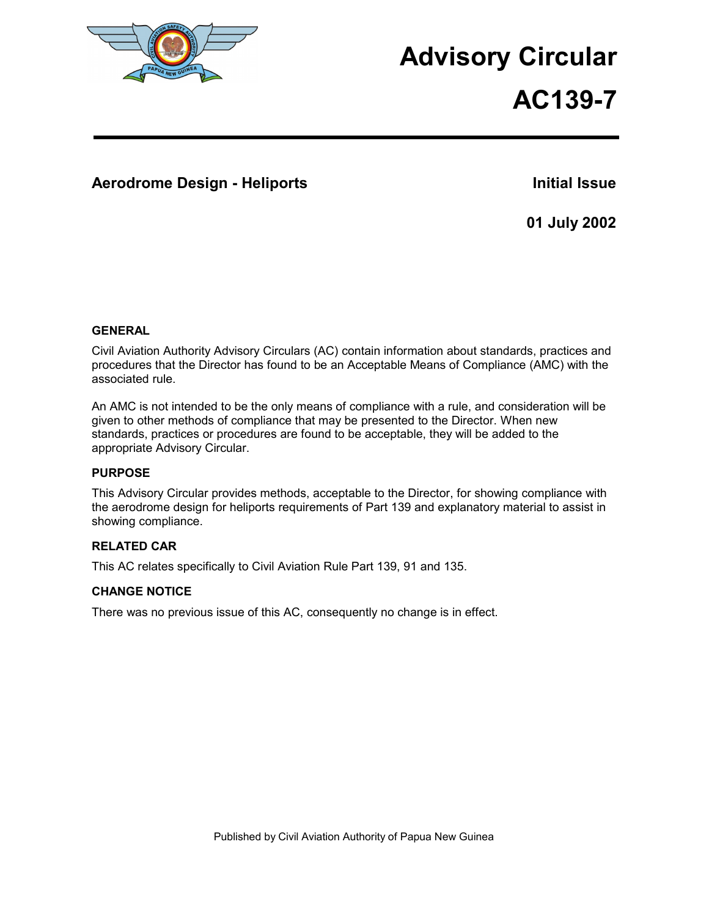

# **Advisory Circular**

# **AC139-7**

## **Aerodrome Design - Heliports Initial Issue**

**01 July 2002** 

## **GENERAL**

Civil Aviation Authority Advisory Circulars (AC) contain information about standards, practices and procedures that the Director has found to be an Acceptable Means of Compliance (AMC) with the associated rule.

An AMC is not intended to be the only means of compliance with a rule, and consideration will be given to other methods of compliance that may be presented to the Director. When new standards, practices or procedures are found to be acceptable, they will be added to the appropriate Advisory Circular.

## **PURPOSE**

This Advisory Circular provides methods, acceptable to the Director, for showing compliance with the aerodrome design for heliports requirements of Part 139 and explanatory material to assist in showing compliance.

## **RELATED CAR**

This AC relates specifically to Civil Aviation Rule Part 139, 91 and 135.

## **CHANGE NOTICE**

There was no previous issue of this AC, consequently no change is in effect.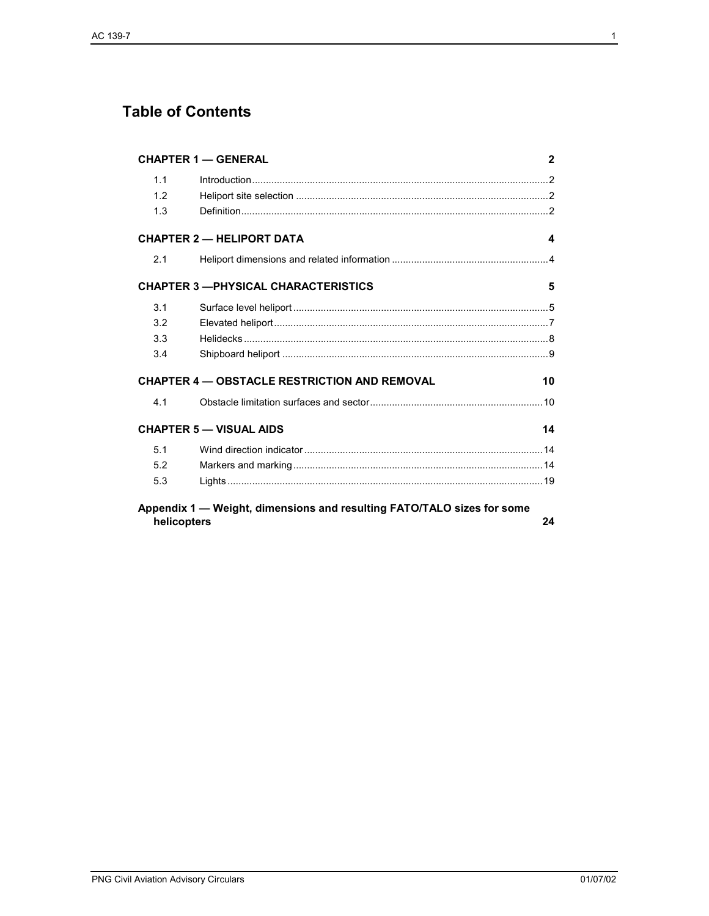# **Table of Contents**

|     | <b>CHAPTER 1 - GENERAL</b>                                             | $\mathbf{2}$ |
|-----|------------------------------------------------------------------------|--------------|
| 1.1 |                                                                        |              |
| 12  |                                                                        |              |
| 1.3 |                                                                        |              |
|     | <b>CHAPTER 2 - HELIPORT DATA</b>                                       | 4            |
| 2.1 |                                                                        |              |
|     | <b>CHAPTER 3 - PHYSICAL CHARACTERISTICS</b>                            | 5            |
| 3.1 |                                                                        |              |
| 3.2 |                                                                        |              |
| 3.3 |                                                                        |              |
| 3.4 |                                                                        |              |
|     | <b>CHAPTER 4 - OBSTACLE RESTRICTION AND REMOVAL</b>                    | 10           |
| 4.1 |                                                                        |              |
|     | <b>CHAPTER 5 - VISUAL AIDS</b>                                         | 14           |
| 5.1 |                                                                        |              |
| 5.2 |                                                                        |              |
| 5.3 |                                                                        |              |
|     | Appendix 1 - Weight, dimensions and resulting FATO/TALO sizes for some |              |
|     | helicopters                                                            | 24           |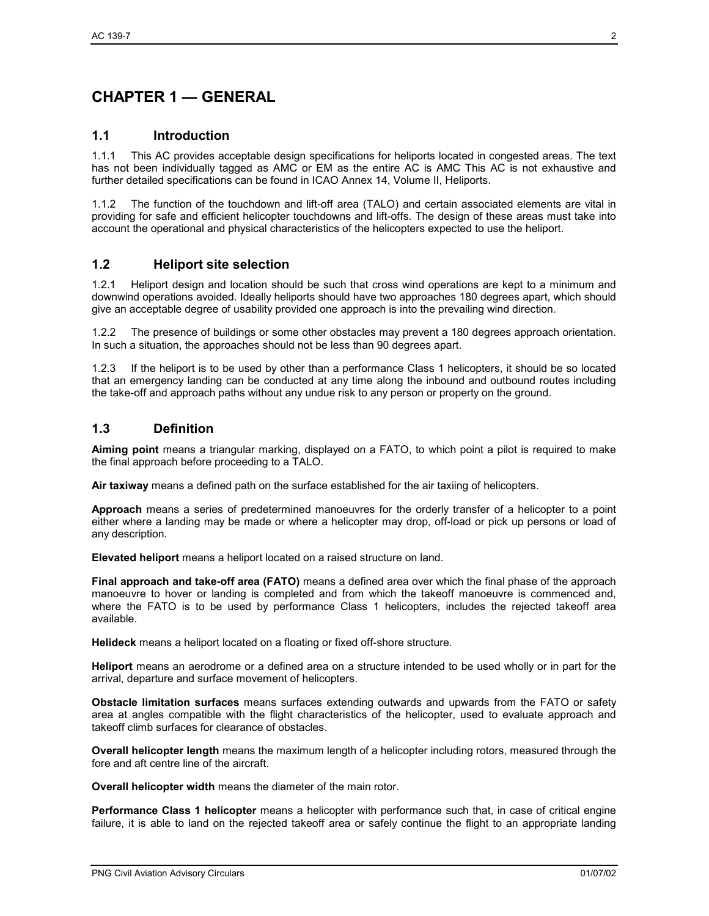# **CHAPTER 1 — GENERAL**

## **1.1 Introduction**

1.1.1 This AC provides acceptable design specifications for heliports located in congested areas. The text has not been individually tagged as AMC or EM as the entire AC is AMC This AC is not exhaustive and further detailed specifications can be found in ICAO Annex 14, Volume II, Heliports.

1.1.2 The function of the touchdown and lift-off area (TALO) and certain associated elements are vital in providing for safe and efficient helicopter touchdowns and lift-offs. The design of these areas must take into account the operational and physical characteristics of the helicopters expected to use the heliport.

## **1.2 Heliport site selection**

1.2.1 Heliport design and location should be such that cross wind operations are kept to a minimum and downwind operations avoided. Ideally heliports should have two approaches 180 degrees apart, which should give an acceptable degree of usability provided one approach is into the prevailing wind direction.

1.2.2 The presence of buildings or some other obstacles may prevent a 180 degrees approach orientation. In such a situation, the approaches should not be less than 90 degrees apart.

1.2.3 If the heliport is to be used by other than a performance Class 1 helicopters, it should be so located that an emergency landing can be conducted at any time along the inbound and outbound routes including the take-off and approach paths without any undue risk to any person or property on the ground.

## **1.3 Definition**

**Aiming point** means a triangular marking, displayed on a FATO, to which point a pilot is required to make the final approach before proceeding to a TALO.

**Air taxiway** means a defined path on the surface established for the air taxiing of helicopters.

**Approach** means a series of predetermined manoeuvres for the orderly transfer of a helicopter to a point either where a landing may be made or where a helicopter may drop, off-load or pick up persons or load of any description.

**Elevated heliport** means a heliport located on a raised structure on land.

**Final approach and take-off area (FATO)** means a defined area over which the final phase of the approach manoeuvre to hover or landing is completed and from which the takeoff manoeuvre is commenced and, where the FATO is to be used by performance Class 1 helicopters, includes the rejected takeoff area available.

**Helideck** means a heliport located on a floating or fixed off-shore structure.

**Heliport** means an aerodrome or a defined area on a structure intended to be used wholly or in part for the arrival, departure and surface movement of helicopters.

**Obstacle limitation surfaces** means surfaces extending outwards and upwards from the FATO or safety area at angles compatible with the flight characteristics of the helicopter, used to evaluate approach and takeoff climb surfaces for clearance of obstacles.

**Overall helicopter length** means the maximum length of a helicopter including rotors, measured through the fore and aft centre line of the aircraft.

**Overall helicopter width** means the diameter of the main rotor.

**Performance Class 1 helicopter** means a helicopter with performance such that, in case of critical engine failure, it is able to land on the rejected takeoff area or safely continue the flight to an appropriate landing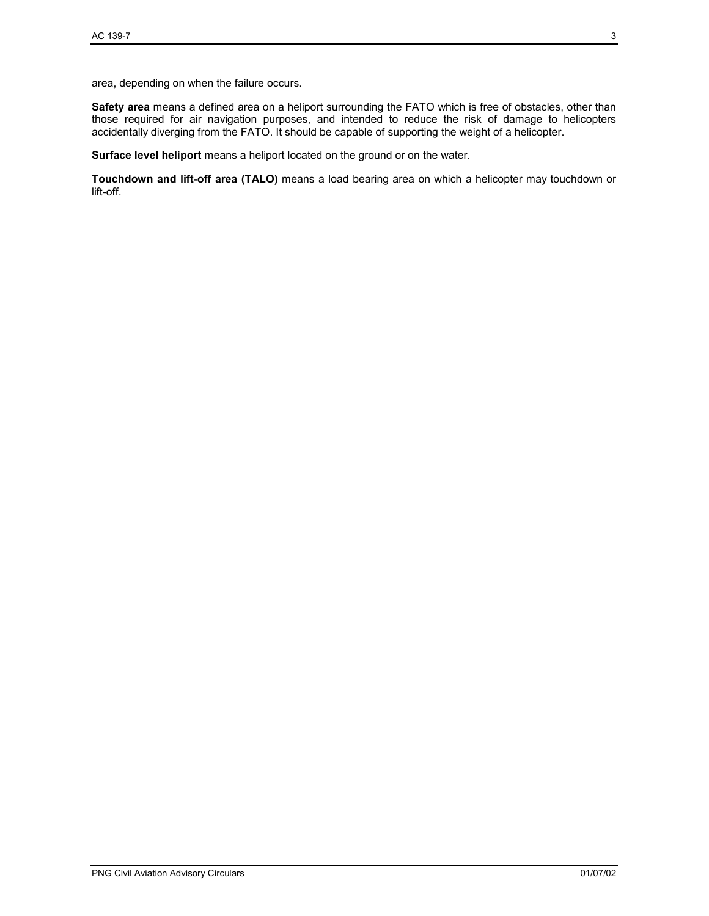area, depending on when the failure occurs.

**Safety area** means a defined area on a heliport surrounding the FATO which is free of obstacles, other than those required for air navigation purposes, and intended to reduce the risk of damage to helicopters accidentally diverging from the FATO. It should be capable of supporting the weight of a helicopter.

**Surface level heliport** means a heliport located on the ground or on the water.

**Touchdown and lift-off area (TALO)** means a load bearing area on which a helicopter may touchdown or lift-off.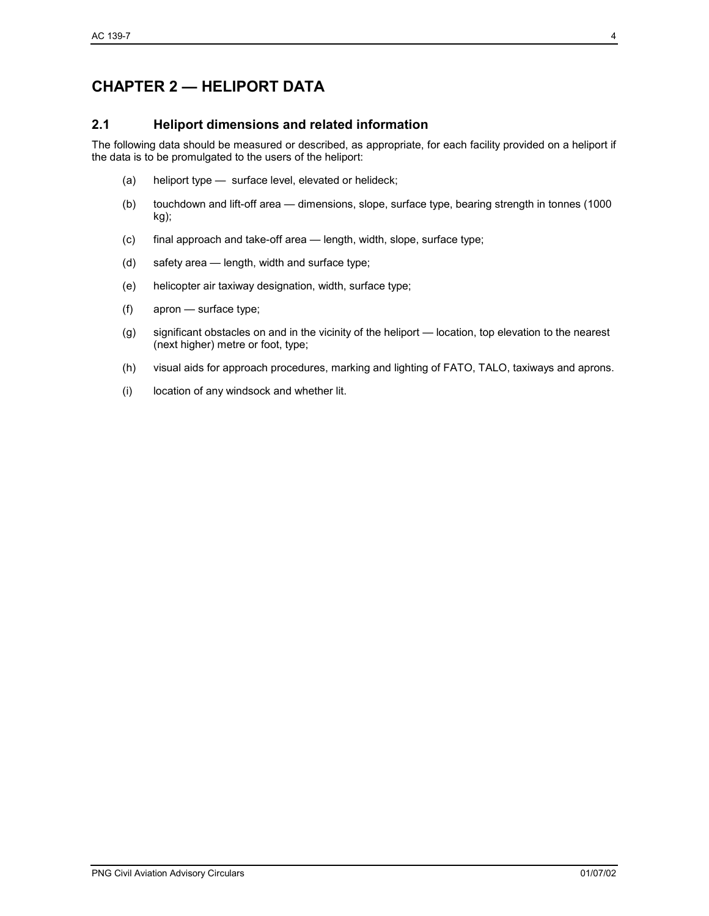# **CHAPTER 2 — HELIPORT DATA**

## **2.1 Heliport dimensions and related information**

The following data should be measured or described, as appropriate, for each facility provided on a heliport if the data is to be promulgated to the users of the heliport:

- (a) heliport type surface level, elevated or helideck;
- (b) touchdown and lift-off area dimensions, slope, surface type, bearing strength in tonnes (1000 kg);
- (c) final approach and take-off area length, width, slope, surface type;
- (d) safety area length, width and surface type;
- (e) helicopter air taxiway designation, width, surface type;
- (f) apron surface type;
- (g) significant obstacles on and in the vicinity of the heliport location, top elevation to the nearest (next higher) metre or foot, type;
- (h) visual aids for approach procedures, marking and lighting of FATO, TALO, taxiways and aprons.
- (i) location of any windsock and whether lit.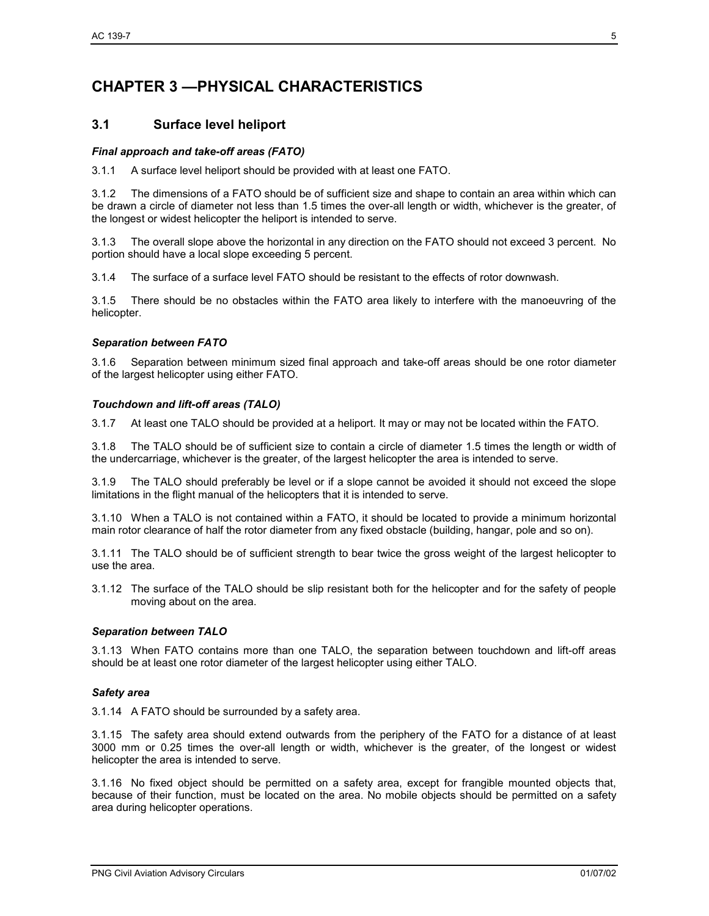# **CHAPTER 3 —PHYSICAL CHARACTERISTICS**

## **3.1 Surface level heliport**

#### *Final approach and take-off areas (FATO)*

3.1.1 A surface level heliport should be provided with at least one FATO.

3.1.2 The dimensions of a FATO should be of sufficient size and shape to contain an area within which can be drawn a circle of diameter not less than 1.5 times the over-all length or width, whichever is the greater, of the longest or widest helicopter the heliport is intended to serve.

3.1.3 The overall slope above the horizontal in any direction on the FATO should not exceed 3 percent. No portion should have a local slope exceeding 5 percent.

3.1.4 The surface of a surface level FATO should be resistant to the effects of rotor downwash.

3.1.5 There should be no obstacles within the FATO area likely to interfere with the manoeuvring of the helicopter.

#### *Separation between FATO*

3.1.6 Separation between minimum sized final approach and take-off areas should be one rotor diameter of the largest helicopter using either FATO.

#### *Touchdown and lift-off areas (TALO)*

3.1.7 At least one TALO should be provided at a heliport. It may or may not be located within the FATO.

3.1.8 The TALO should be of sufficient size to contain a circle of diameter 1.5 times the length or width of the undercarriage, whichever is the greater, of the largest helicopter the area is intended to serve.

3.1.9 The TALO should preferably be level or if a slope cannot be avoided it should not exceed the slope limitations in the flight manual of the helicopters that it is intended to serve.

3.1.10 When a TALO is not contained within a FATO, it should be located to provide a minimum horizontal main rotor clearance of half the rotor diameter from any fixed obstacle (building, hangar, pole and so on).

3.1.11 The TALO should be of sufficient strength to bear twice the gross weight of the largest helicopter to use the area.

3.1.12 The surface of the TALO should be slip resistant both for the helicopter and for the safety of people moving about on the area.

#### *Separation between TALO*

3.1.13 When FATO contains more than one TALO, the separation between touchdown and lift-off areas should be at least one rotor diameter of the largest helicopter using either TALO.

#### *Safety area*

3.1.14 A FATO should be surrounded by a safety area.

3.1.15 The safety area should extend outwards from the periphery of the FATO for a distance of at least 3000 mm or 0.25 times the over-all length or width, whichever is the greater, of the longest or widest helicopter the area is intended to serve.

3.1.16 No fixed object should be permitted on a safety area, except for frangible mounted objects that, because of their function, must be located on the area. No mobile objects should be permitted on a safety area during helicopter operations.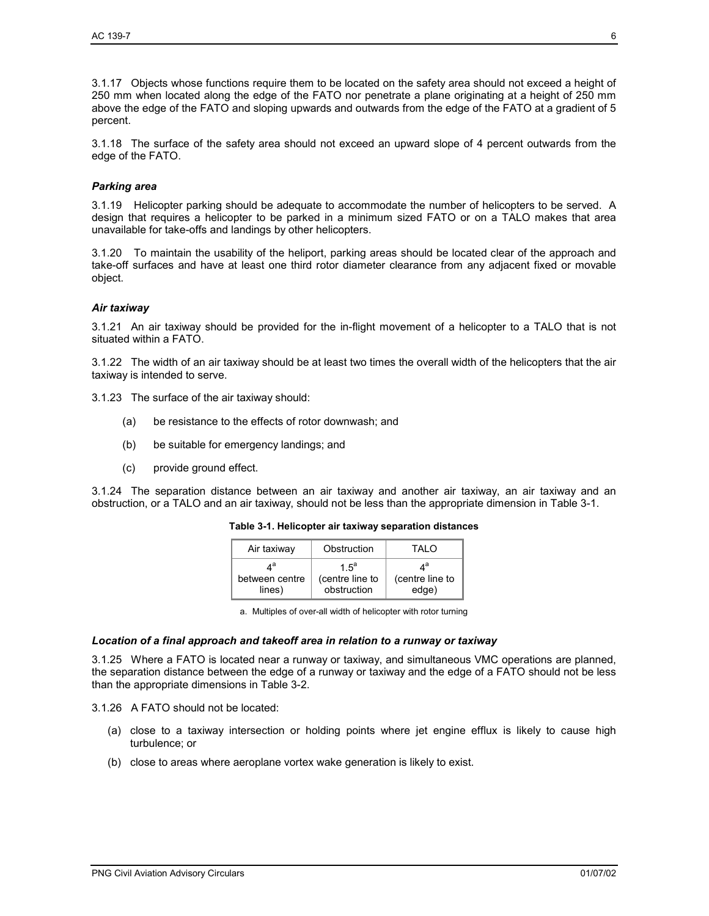3.1.17 Objects whose functions require them to be located on the safety area should not exceed a height of 250 mm when located along the edge of the FATO nor penetrate a plane originating at a height of 250 mm above the edge of the FATO and sloping upwards and outwards from the edge of the FATO at a gradient of 5 percent.

3.1.18 The surface of the safety area should not exceed an upward slope of 4 percent outwards from the edge of the FATO.

#### *Parking area*

3.1.19 Helicopter parking should be adequate to accommodate the number of helicopters to be served. A design that requires a helicopter to be parked in a minimum sized FATO or on a TALO makes that area unavailable for take-offs and landings by other helicopters.

3.1.20 To maintain the usability of the heliport, parking areas should be located clear of the approach and take-off surfaces and have at least one third rotor diameter clearance from any adjacent fixed or movable object.

#### *Air taxiway*

3.1.21 An air taxiway should be provided for the in-flight movement of a helicopter to a TALO that is not situated within a FATO.

3.1.22 The width of an air taxiway should be at least two times the overall width of the helicopters that the air taxiway is intended to serve.

- 3.1.23 The surface of the air taxiway should:
	- (a) be resistance to the effects of rotor downwash; and
	- (b) be suitable for emergency landings; and
	- (c) provide ground effect.

3.1.24 The separation distance between an air taxiway and another air taxiway, an air taxiway and an obstruction, or a TALO and an air taxiway, should not be less than the appropriate dimension in Table 3-1.

| Air taxiway    | Obstruction     | TAI O           |
|----------------|-----------------|-----------------|
| л <sup>а</sup> | 1.5 $a$         | ла              |
| between centre | (centre line to | (centre line to |
| lines)         | obstruction     | edge)           |

**Table 3-1. Helicopter air taxiway separation distances** 

a. Multiples of over-all width of helicopter with rotor turning

#### *Location of a final approach and takeoff area in relation to a runway or taxiway*

3.1.25 Where a FATO is located near a runway or taxiway, and simultaneous VMC operations are planned, the separation distance between the edge of a runway or taxiway and the edge of a FATO should not be less than the appropriate dimensions in Table 3-2.

3.1.26 A FATO should not be located:

- (a) close to a taxiway intersection or holding points where jet engine efflux is likely to cause high turbulence; or
- (b) close to areas where aeroplane vortex wake generation is likely to exist.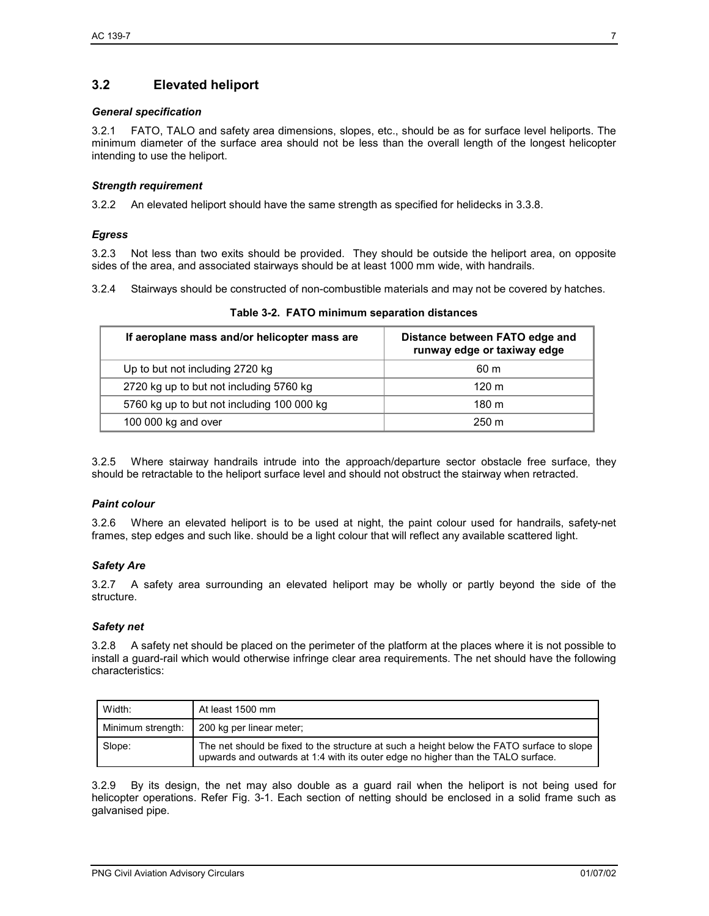## **3.2 Elevated heliport**

#### *General specification*

3.2.1 FATO, TALO and safety area dimensions, slopes, etc., should be as for surface level heliports. The minimum diameter of the surface area should not be less than the overall length of the longest helicopter intending to use the heliport.

#### *Strength requirement*

3.2.2 An elevated heliport should have the same strength as specified for helidecks in 3.3.8.

#### *Egress*

3.2.3 Not less than two exits should be provided. They should be outside the heliport area, on opposite sides of the area, and associated stairways should be at least 1000 mm wide, with handrails.

3.2.4 Stairways should be constructed of non-combustible materials and may not be covered by hatches.

| If aeroplane mass and/or helicopter mass are | Distance between FATO edge and<br>runway edge or taxiway edge<br>60 m<br>$120 \text{ m}$ |  |  |  |
|----------------------------------------------|------------------------------------------------------------------------------------------|--|--|--|
| Up to but not including 2720 kg              |                                                                                          |  |  |  |
| 2720 kg up to but not including 5760 kg      |                                                                                          |  |  |  |
| 5760 kg up to but not including 100 000 kg   | 180 <sub>m</sub>                                                                         |  |  |  |
| 100 000 kg and over                          | $250 \text{ m}$                                                                          |  |  |  |

|  |  | Table 3-2. FATO minimum separation distances |  |  |
|--|--|----------------------------------------------|--|--|
|--|--|----------------------------------------------|--|--|

3.2.5 Where stairway handrails intrude into the approach/departure sector obstacle free surface, they should be retractable to the heliport surface level and should not obstruct the stairway when retracted.

#### *Paint colour*

3.2.6 Where an elevated heliport is to be used at night, the paint colour used for handrails, safety-net frames, step edges and such like. should be a light colour that will reflect any available scattered light.

#### *Safety Are*

3.2.7 A safety area surrounding an elevated heliport may be wholly or partly beyond the side of the structure.

#### *Safety net*

3.2.8 A safety net should be placed on the perimeter of the platform at the places where it is not possible to install a guard-rail which would otherwise infringe clear area requirements. The net should have the following characteristics:

| Width:            | At least 1500 mm                                                                                                                                                              |
|-------------------|-------------------------------------------------------------------------------------------------------------------------------------------------------------------------------|
| Minimum strength: | 200 kg per linear meter:                                                                                                                                                      |
| Slope:            | The net should be fixed to the structure at such a height below the FATO surface to slope<br>upwards and outwards at 1:4 with its outer edge no higher than the TALO surface. |

3.2.9 By its design, the net may also double as a guard rail when the heliport is not being used for helicopter operations. Refer Fig. 3-1. Each section of netting should be enclosed in a solid frame such as galvanised pipe.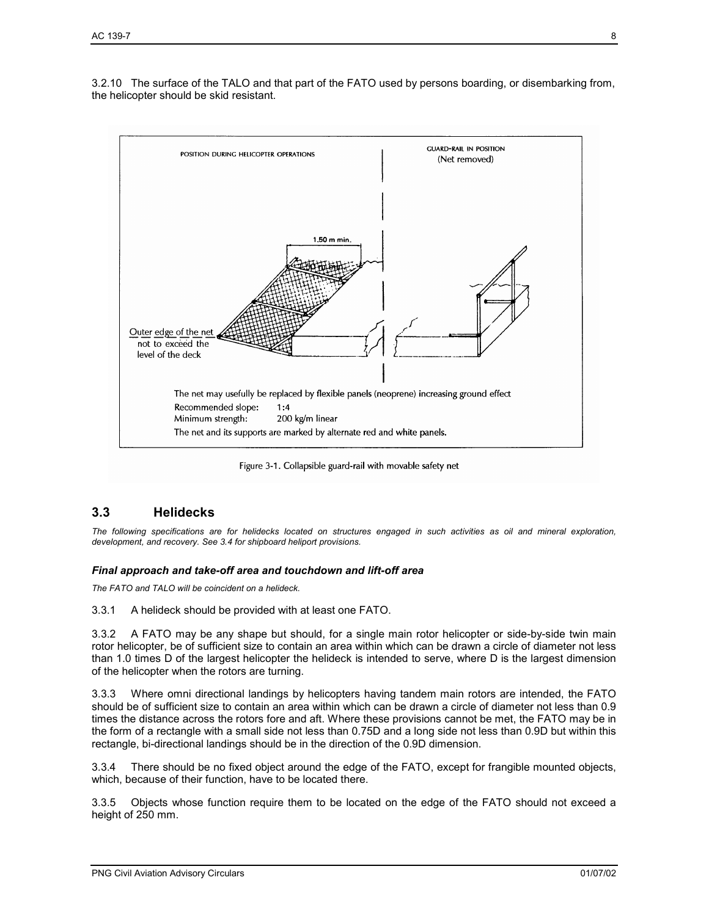3.2.10 The surface of the TALO and that part of the FATO used by persons boarding, or disembarking from, the helicopter should be skid resistant.



Figure 3-1. Collapsible guard-rail with movable safety net

## **3.3 Helidecks**

*The following specifications are for helidecks located on structures engaged in such activities as oil and mineral exploration, development, and recovery. See 3.4 for shipboard heliport provisions.* 

#### *Final approach and take-off area and touchdown and lift-off area*

*The FATO and TALO will be coincident on a helideck.*

3.3.1 A helideck should be provided with at least one FATO.

3.3.2 A FATO may be any shape but should, for a single main rotor helicopter or side-by-side twin main rotor helicopter, be of sufficient size to contain an area within which can be drawn a circle of diameter not less than 1.0 times D of the largest helicopter the helideck is intended to serve, where D is the largest dimension of the helicopter when the rotors are turning.

3.3.3 Where omni directional landings by helicopters having tandem main rotors are intended, the FATO should be of sufficient size to contain an area within which can be drawn a circle of diameter not less than 0.9 times the distance across the rotors fore and aft. Where these provisions cannot be met, the FATO may be in the form of a rectangle with a small side not less than 0.75D and a long side not less than 0.9D but within this rectangle, bi-directional landings should be in the direction of the 0.9D dimension.

3.3.4 There should be no fixed object around the edge of the FATO, except for frangible mounted objects, which, because of their function, have to be located there.

3.3.5 Objects whose function require them to be located on the edge of the FATO should not exceed a height of 250 mm.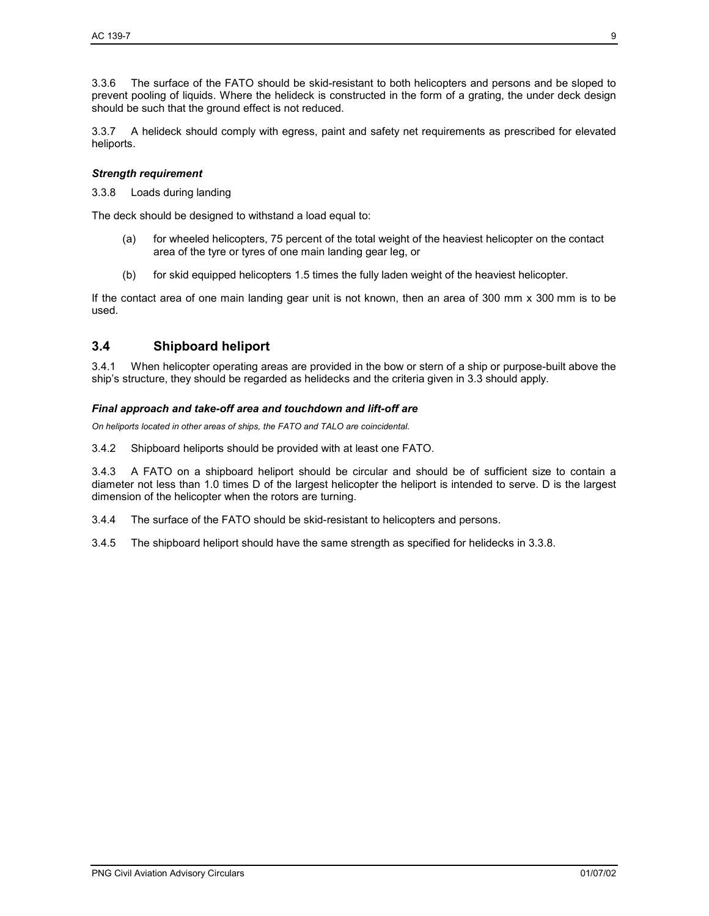3.3.6 The surface of the FATO should be skid-resistant to both helicopters and persons and be sloped to prevent pooling of liquids. Where the helideck is constructed in the form of a grating, the under deck design should be such that the ground effect is not reduced.

3.3.7 A helideck should comply with egress, paint and safety net requirements as prescribed for elevated heliports.

#### *Strength requirement*

3.3.8 Loads during landing

The deck should be designed to withstand a load equal to:

- (a) for wheeled helicopters, 75 percent of the total weight of the heaviest helicopter on the contact area of the tyre or tyres of one main landing gear leg, or
- (b) for skid equipped helicopters 1.5 times the fully laden weight of the heaviest helicopter.

If the contact area of one main landing gear unit is not known, then an area of 300 mm x 300 mm is to be used.

## **3.4 Shipboard heliport**

3.4.1 When helicopter operating areas are provided in the bow or stern of a ship or purpose-built above the ship's structure, they should be regarded as helidecks and the criteria given in 3.3 should apply.

#### *Final approach and take-off area and touchdown and lift-off are*

*On heliports located in other areas of ships, the FATO and TALO are coincidental.* 

3.4.2 Shipboard heliports should be provided with at least one FATO.

3.4.3 A FATO on a shipboard heliport should be circular and should be of sufficient size to contain a diameter not less than 1.0 times D of the largest helicopter the heliport is intended to serve. D is the largest dimension of the helicopter when the rotors are turning.

3.4.4 The surface of the FATO should be skid-resistant to helicopters and persons.

3.4.5 The shipboard heliport should have the same strength as specified for helidecks in 3.3.8.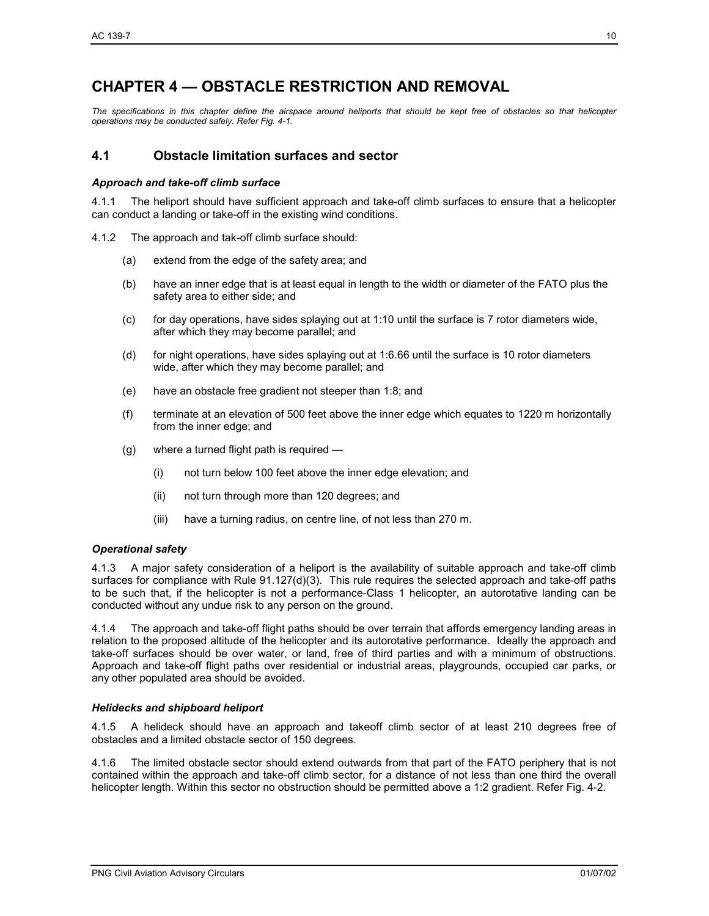# **CHAPTER 4 — OBSTACLE RESTRICTION AND REMOVAL**

*The specifications in this chapter define the airspace around heliports that should be kept free of obstacles so that helicopter operations may be conducted safely. Refer Fig. 4-1.*

## **4.1 Obstacle limitation surfaces and sector**

#### *Approach and take-off climb surface*

4.1.1 The heliport should have sufficient approach and take-off climb surfaces to ensure that a helicopter can conduct a landing or take-off in the existing wind conditions.

- 4.1.2 The approach and tak-off climb surface should:
	- (a) extend from the edge of the safety area; and
	- (b) have an inner edge that is at least equal in length to the width or diameter of the FATO plus the safety area to either side; and
	- $(c)$  for day operations, have sides splaying out at 1:10 until the surface is 7 rotor diameters wide, after which they may become parallel; and
	- (d) for night operations, have sides splaying out at 1:6.66 until the surface is 10 rotor diameters wide, after which they may become parallel; and
	- (e) have an obstacle free gradient not steeper than 1:8; and
	- (f) terminate at an elevation of 500 feet above the inner edge which equates to 1220 m horizontally from the inner edge; and
	- (g) where a turned flight path is required
		- (i) not turn below 100 feet above the inner edge elevation; and
		- (ii) not turn through more than 120 degrees; and
		- (iii) have a turning radius, on centre line, of not less than 270 m.

#### *Operational safety*

4.1.3 A major safety consideration of a heliport is the availability of suitable approach and take-off climb surfaces for compliance with Rule 91.127(d)(3). This rule requires the selected approach and take-off paths to be such that, if the helicopter is not a performance-Class 1 helicopter, an autorotative landing can be conducted without any undue risk to any person on the ground.

4.1.4 The approach and take-off flight paths should be over terrain that affords emergency landing areas in relation to the proposed altitude of the helicopter and its autorotative performance. Ideally the approach and take-off surfaces should be over water, or land, free of third parties and with a minimum of obstructions. Approach and take-off flight paths over residential or industrial areas, playgrounds, occupied car parks, or any other populated area should be avoided.

#### *Helidecks and shipboard heliport*

4.1.5 A helideck should have an approach and takeoff climb sector of at least 210 degrees free of obstacles and a limited obstacle sector of 150 degrees.

4.1.6 The limited obstacle sector should extend outwards from that part of the FATO periphery that is not contained within the approach and take-off climb sector, for a distance of not less than one third the overall helicopter length. Within this sector no obstruction should be permitted above a 1:2 gradient. Refer Fig. 4-2.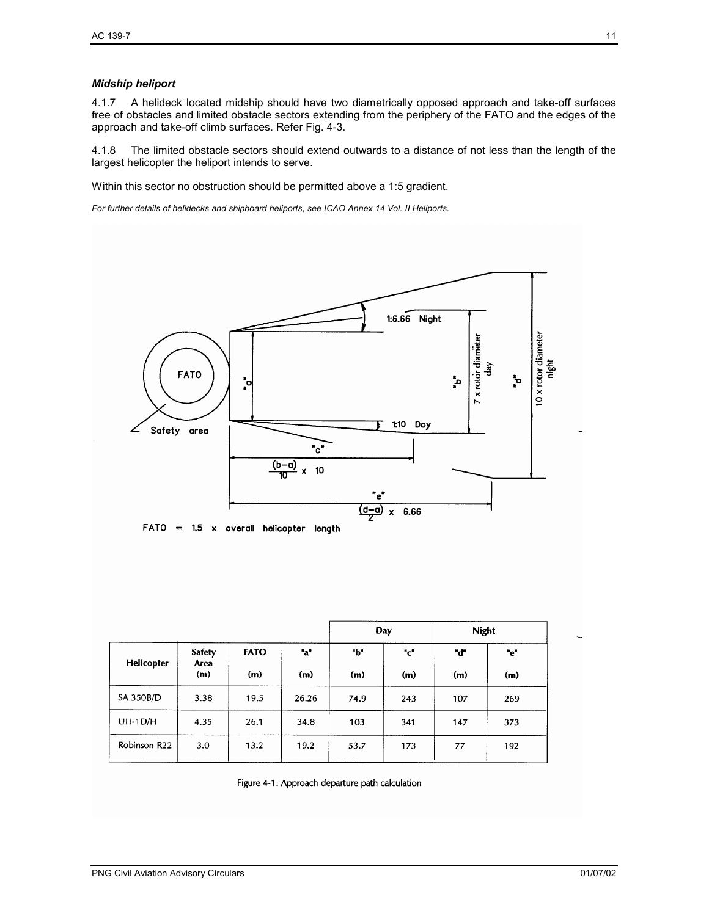#### *Midship heliport*

4.1.7 A helideck located midship should have two diametrically opposed approach and take-off surfaces free of obstacles and limited obstacle sectors extending from the periphery of the FATO and the edges of the approach and take-off climb surfaces. Refer Fig. 4-3.

4.1.8 The limited obstacle sectors should extend outwards to a distance of not less than the length of the largest helicopter the heliport intends to serve.

Within this sector no obstruction should be permitted above a 1:5 gradient.

*For further details of helidecks and shipboard heliports, see ICAO Annex 14 Vol. II Heliports.*



|                   |                              |                    |            | Day        |            | <b>Night</b> |            |
|-------------------|------------------------------|--------------------|------------|------------|------------|--------------|------------|
| <b>Helicopter</b> | <b>Safety</b><br>Area<br>(m) | <b>FATO</b><br>(m) | "a"<br>(m) | "Ь"<br>(m) | "c"<br>(m) | "d"<br>(m)   | "e"<br>(m) |
| SA 350B/D         | 3.38                         | 19.5               | 26.26      | 74.9       | 243        | 107          | 269        |
| UH-1D/H           | 4.35                         | 26.1               | 34.8       | 103        | 341        | 147          | 373        |
| Robinson R22      | 3.0                          | 13.2               | 19.2       | 53.7       | 173        | 77           | 192        |

Figure 4-1. Approach departure path calculation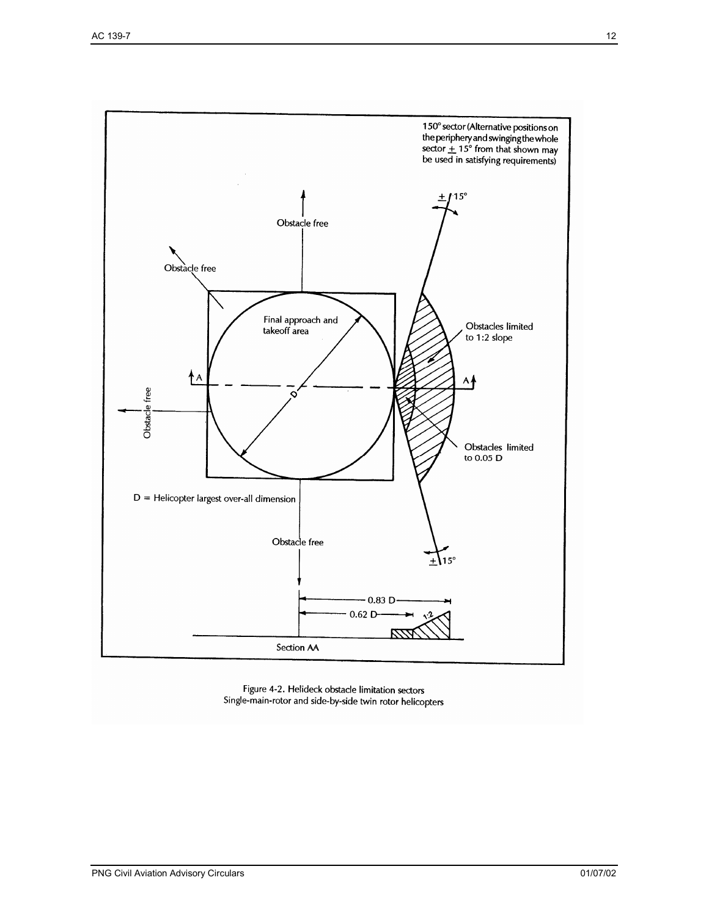

Figure 4-2. Helideck obstacle limitation sectors Single-main-rotor and side-by-side twin rotor helicopters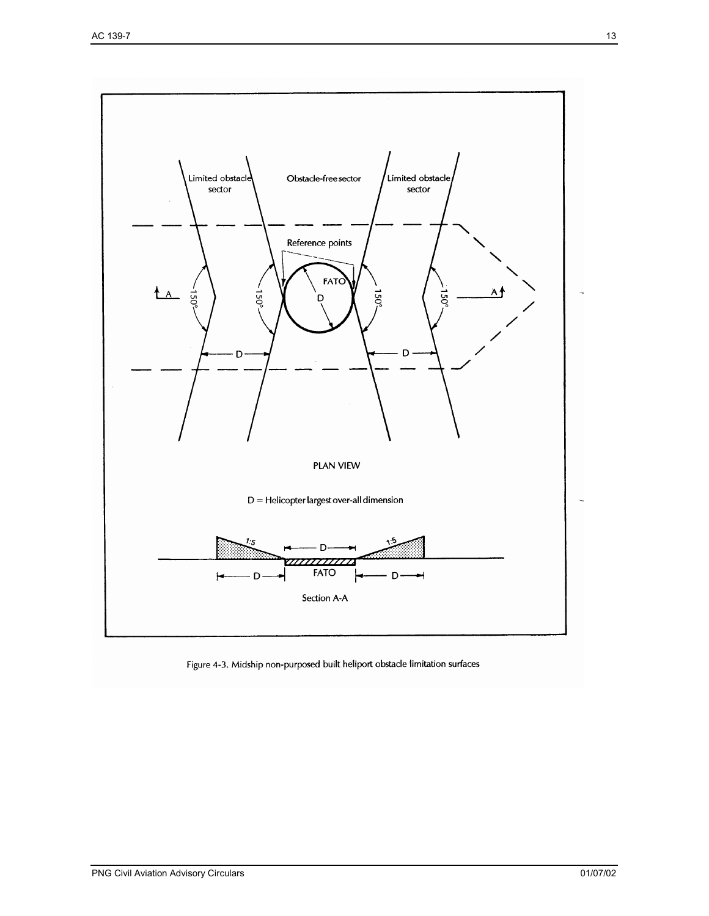

Figure 4-3. Midship non-purposed built heliport obstacle limitation surfaces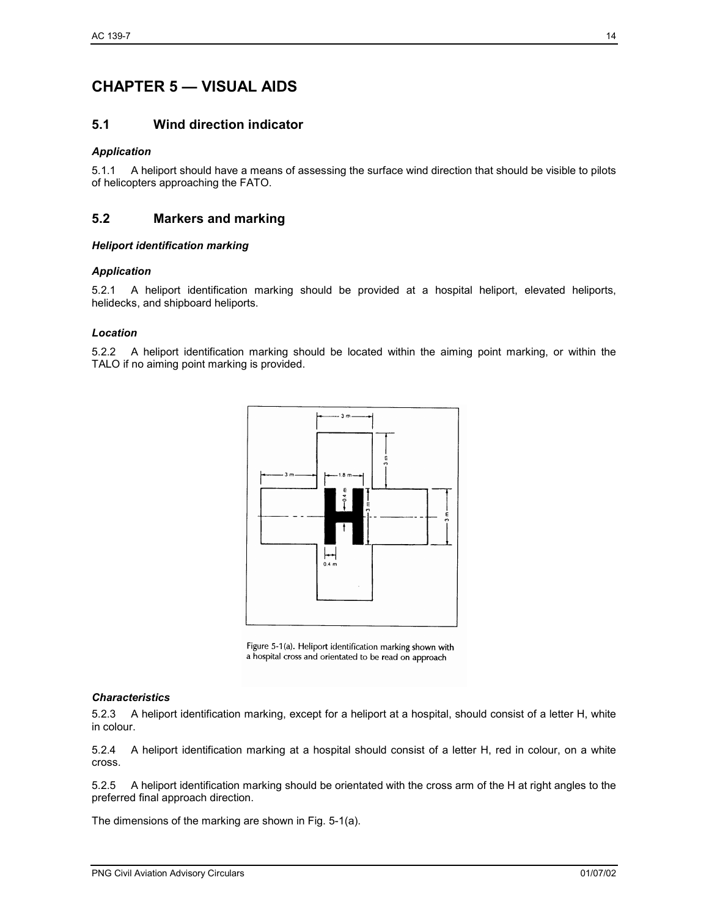## **CHAPTER 5 — VISUAL AIDS**

### **5.1 Wind direction indicator**

#### *Application*

5.1.1 A heliport should have a means of assessing the surface wind direction that should be visible to pilots of helicopters approaching the FATO.

## **5.2 Markers and marking**

#### *Heliport identification marking*

#### *Application*

5.2.1 A heliport identification marking should be provided at a hospital heliport, elevated heliports, helidecks, and shipboard heliports.

#### *Location*

5.2.2 A heliport identification marking should be located within the aiming point marking, or within the TALO if no aiming point marking is provided.



Figure 5-1(a). Heliport identification marking shown with a hospital cross and orientated to be read on approach

#### *Characteristics*

5.2.3 A heliport identification marking, except for a heliport at a hospital, should consist of a letter H, white in colour.

5.2.4 A heliport identification marking at a hospital should consist of a letter H, red in colour, on a white cross.

5.2.5 A heliport identification marking should be orientated with the cross arm of the H at right angles to the preferred final approach direction.

The dimensions of the marking are shown in Fig. 5-1(a).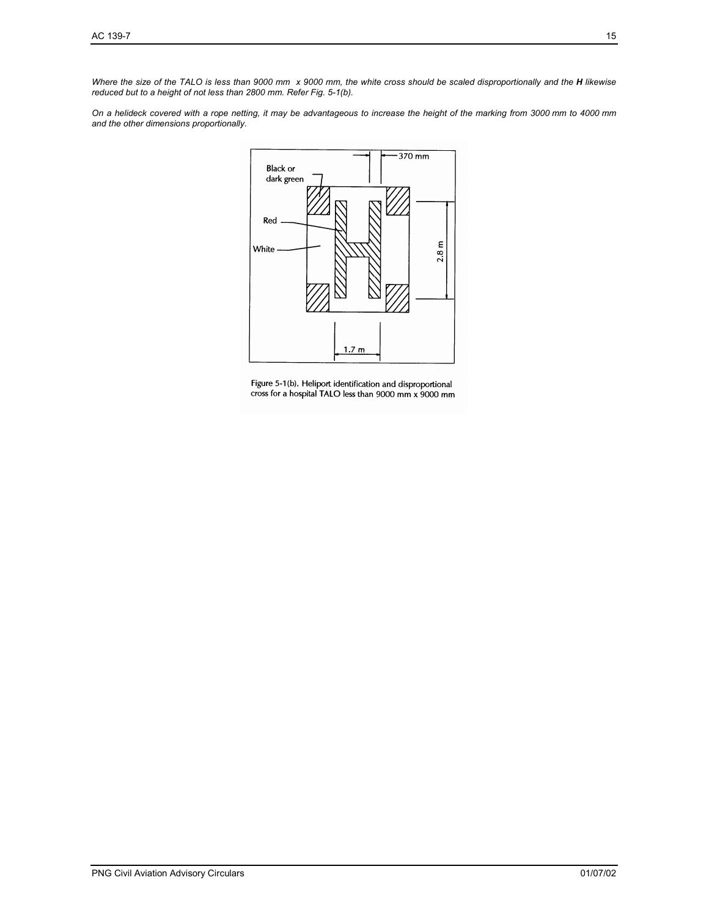*Where the size of the TALO is less than 9000 mm x 9000 mm, the white cross should be scaled disproportionally and the H likewise reduced but to a height of not less than 2800 mm. Refer Fig. 5-1(b).* 

*On a helideck covered with a rope netting, it may be advantageous to increase the height of the marking from 3000 mm to 4000 mm and the other dimensions proportionally.* 



Figure 5-1(b). Heliport identification and disproportional<br>cross for a hospital TALO less than 9000 mm x 9000 mm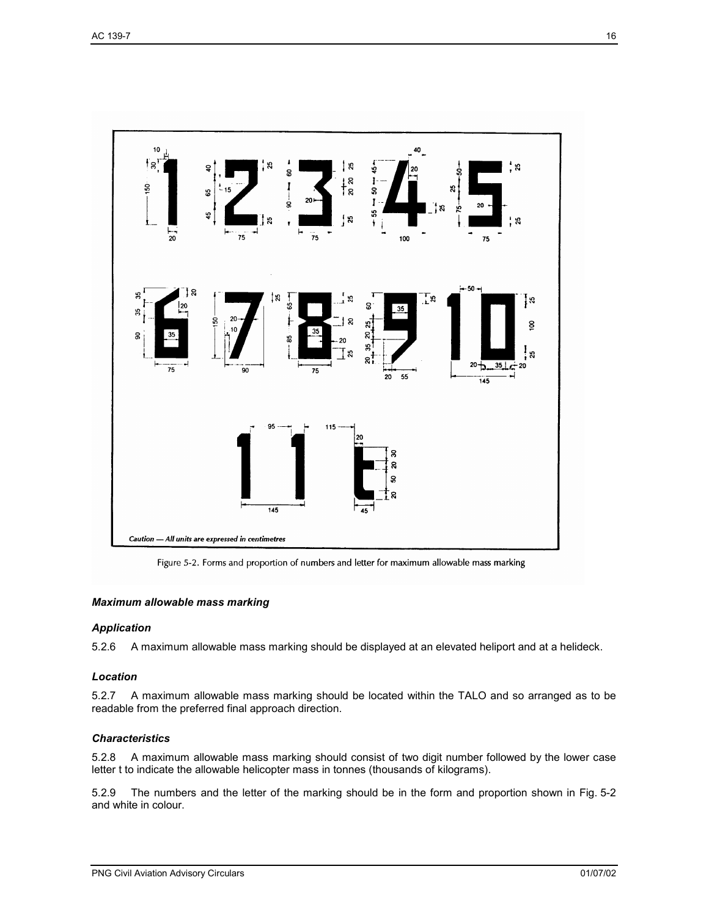

Figure 5-2. Forms and proportion of numbers and letter for maximum allowable mass marking

#### *Maximum allowable mass marking*

#### *Application*

5.2.6 A maximum allowable mass marking should be displayed at an elevated heliport and at a helideck.

#### *Location*

5.2.7 A maximum allowable mass marking should be located within the TALO and so arranged as to be readable from the preferred final approach direction.

#### *Characteristics*

5.2.8 A maximum allowable mass marking should consist of two digit number followed by the lower case letter t to indicate the allowable helicopter mass in tonnes (thousands of kilograms).

5.2.9 The numbers and the letter of the marking should be in the form and proportion shown in Fig. 5-2 and white in colour.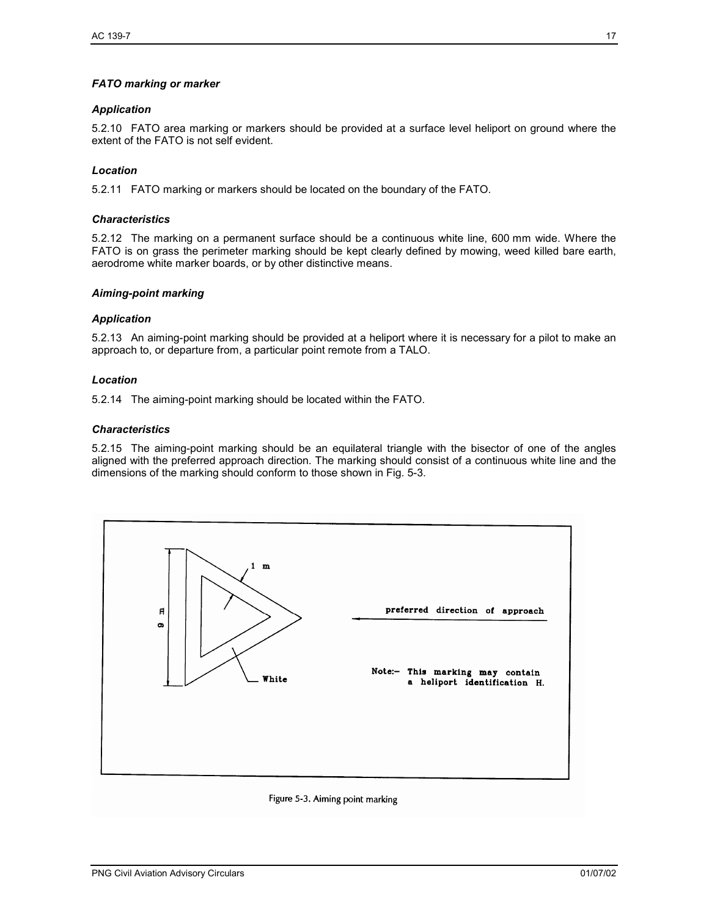#### *FATO marking or marker*

#### *Application*

5.2.10 FATO area marking or markers should be provided at a surface level heliport on ground where the extent of the FATO is not self evident.

#### *Location*

5.2.11 FATO marking or markers should be located on the boundary of the FATO.

#### *Characteristics*

5.2.12 The marking on a permanent surface should be a continuous white line, 600 mm wide. Where the FATO is on grass the perimeter marking should be kept clearly defined by mowing, weed killed bare earth, aerodrome white marker boards, or by other distinctive means.

#### *Aiming-point marking*

#### *Application*

5.2.13 An aiming-point marking should be provided at a heliport where it is necessary for a pilot to make an approach to, or departure from, a particular point remote from a TALO.

#### *Location*

5.2.14 The aiming-point marking should be located within the FATO.

#### *Characteristics*

5.2.15 The aiming-point marking should be an equilateral triangle with the bisector of one of the angles aligned with the preferred approach direction. The marking should consist of a continuous white line and the dimensions of the marking should conform to those shown in Fig. 5-3.



#### Figure 5-3. Aiming point marking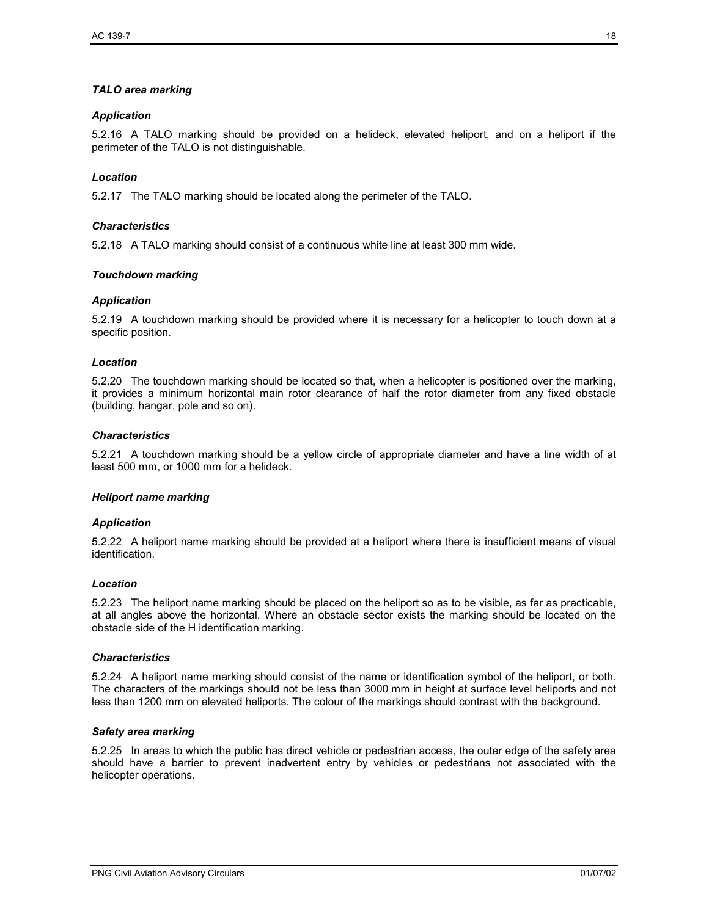#### *TALO area marking*

#### *Application*

5.2.16 A TALO marking should be provided on a helideck, elevated heliport, and on a heliport if the perimeter of the TALO is not distinguishable.

#### *Location*

5.2.17 The TALO marking should be located along the perimeter of the TALO.

#### *Characteristics*

5.2.18 A TALO marking should consist of a continuous white line at least 300 mm wide.

#### *Touchdown marking*

#### *Application*

5.2.19 A touchdown marking should be provided where it is necessary for a helicopter to touch down at a specific position.

#### *Location*

5.2.20 The touchdown marking should be located so that, when a helicopter is positioned over the marking, it provides a minimum horizontal main rotor clearance of half the rotor diameter from any fixed obstacle (building, hangar, pole and so on).

#### *Characteristics*

5.2.21 A touchdown marking should be a yellow circle of appropriate diameter and have a line width of at least 500 mm, or 1000 mm for a helideck.

#### *Heliport name marking*

#### *Application*

5.2.22 A heliport name marking should be provided at a heliport where there is insufficient means of visual identification.

#### *Location*

5.2.23 The heliport name marking should be placed on the heliport so as to be visible, as far as practicable, at all angles above the horizontal. Where an obstacle sector exists the marking should be located on the obstacle side of the H identification marking.

#### *Characteristics*

5.2.24 A heliport name marking should consist of the name or identification symbol of the heliport, or both. The characters of the markings should not be less than 3000 mm in height at surface level heliports and not less than 1200 mm on elevated heliports. The colour of the markings should contrast with the background.

#### *Safety area marking*

5.2.25 In areas to which the public has direct vehicle or pedestrian access, the outer edge of the safety area should have a barrier to prevent inadvertent entry by vehicles or pedestrians not associated with the helicopter operations.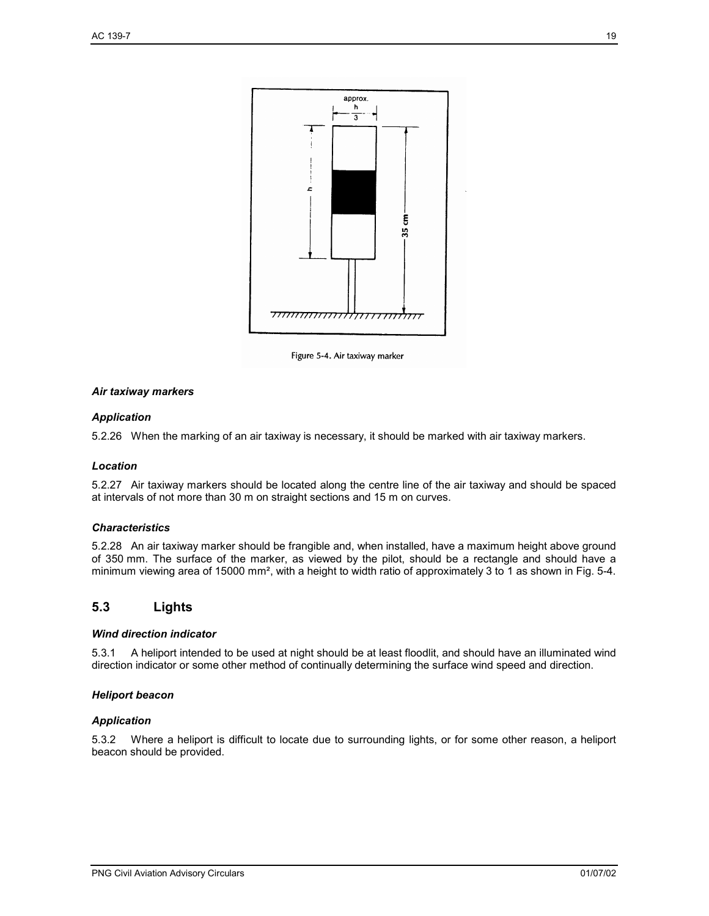

Figure 5-4. Air taxiway marker

#### *Air taxiway markers*

#### *Application*

5.2.26 When the marking of an air taxiway is necessary, it should be marked with air taxiway markers.

#### *Location*

5.2.27 Air taxiway markers should be located along the centre line of the air taxiway and should be spaced at intervals of not more than 30 m on straight sections and 15 m on curves.

#### *Characteristics*

5.2.28 An air taxiway marker should be frangible and, when installed, have a maximum height above ground of 350 mm. The surface of the marker, as viewed by the pilot, should be a rectangle and should have a minimum viewing area of 15000 mm<sup>2</sup>, with a height to width ratio of approximately 3 to 1 as shown in Fig. 5-4.

## **5.3 Lights**

#### *Wind direction indicator*

5.3.1 A heliport intended to be used at night should be at least floodlit, and should have an illuminated wind direction indicator or some other method of continually determining the surface wind speed and direction.

#### *Heliport beacon*

#### *Application*

5.3.2 Where a heliport is difficult to locate due to surrounding lights, or for some other reason, a heliport beacon should be provided.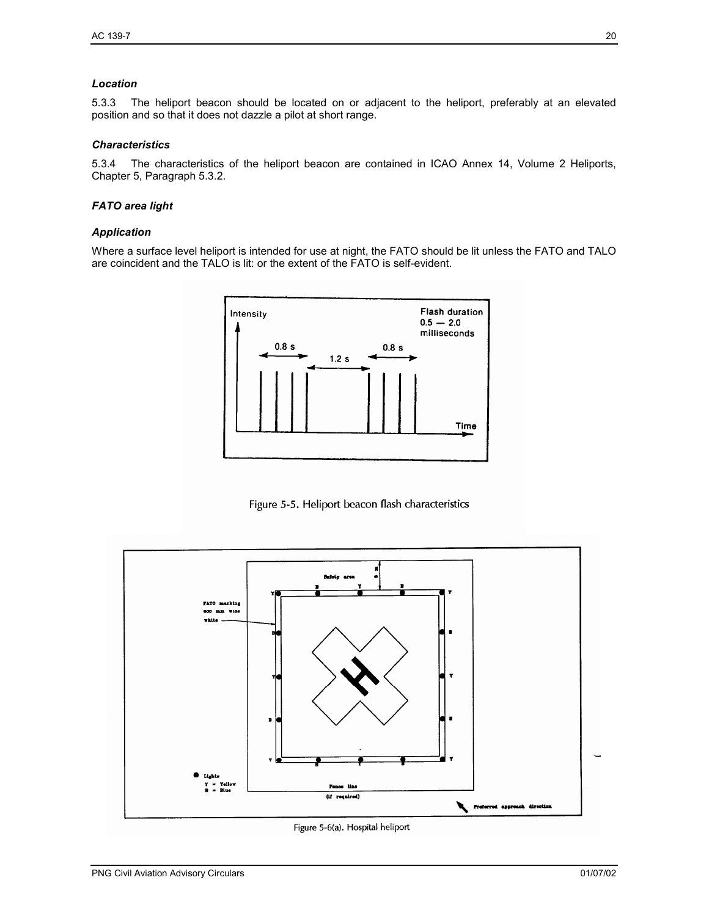#### *Location*

5.3.3 The heliport beacon should be located on or adjacent to the heliport, preferably at an elevated position and so that it does not dazzle a pilot at short range.

#### *Characteristics*

5.3.4 The characteristics of the heliport beacon are contained in ICAO Annex 14, Volume 2 Heliports, Chapter 5, Paragraph 5.3.2.

#### *FATO area light*

#### *Application*

Where a surface level heliport is intended for use at night, the FATO should be lit unless the FATO and TALO are coincident and the TALO is lit: or the extent of the FATO is self-evident.



Figure 5-5. Heliport beacon flash characteristics



Figure 5-6(a). Hospital heliport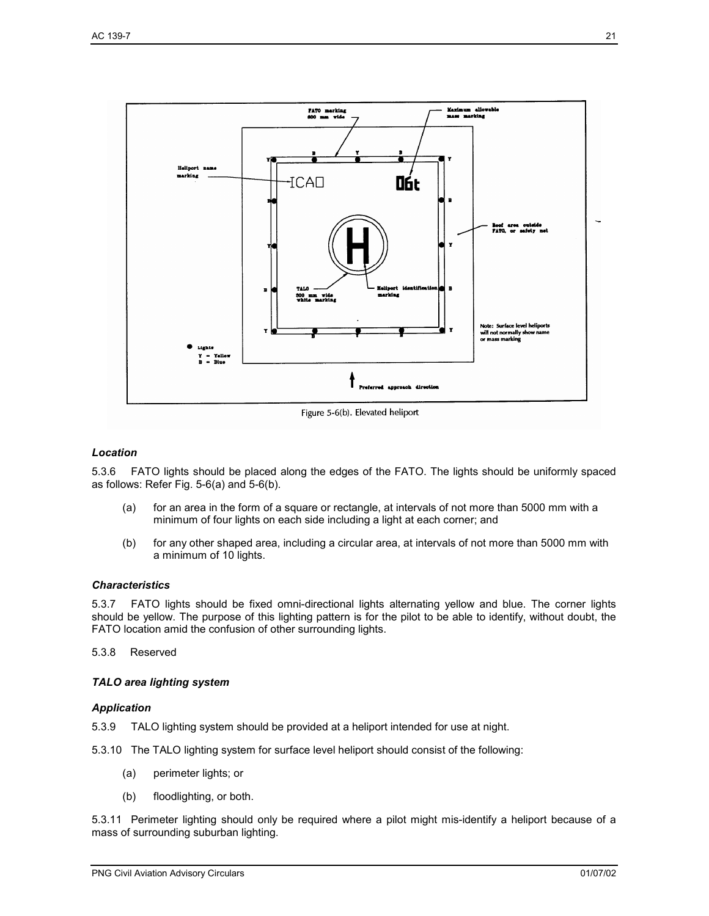

Figure 5-6(b). Elevated heliport

#### *Location*

5.3.6 FATO lights should be placed along the edges of the FATO. The lights should be uniformly spaced as follows: Refer Fig. 5-6(a) and 5-6(b).

- (a) for an area in the form of a square or rectangle, at intervals of not more than 5000 mm with a minimum of four lights on each side including a light at each corner; and
- (b) for any other shaped area, including a circular area, at intervals of not more than 5000 mm with a minimum of 10 lights.

#### *Characteristics*

5.3.7 FATO lights should be fixed omni-directional lights alternating yellow and blue. The corner lights should be yellow. The purpose of this lighting pattern is for the pilot to be able to identify, without doubt, the FATO location amid the confusion of other surrounding lights.

5.3.8 Reserved

#### *TALO area lighting system*

#### *Application*

5.3.9 TALO lighting system should be provided at a heliport intended for use at night.

5.3.10 The TALO lighting system for surface level heliport should consist of the following:

- (a) perimeter lights; or
- (b) floodlighting, or both.

5.3.11 Perimeter lighting should only be required where a pilot might mis-identify a heliport because of a mass of surrounding suburban lighting.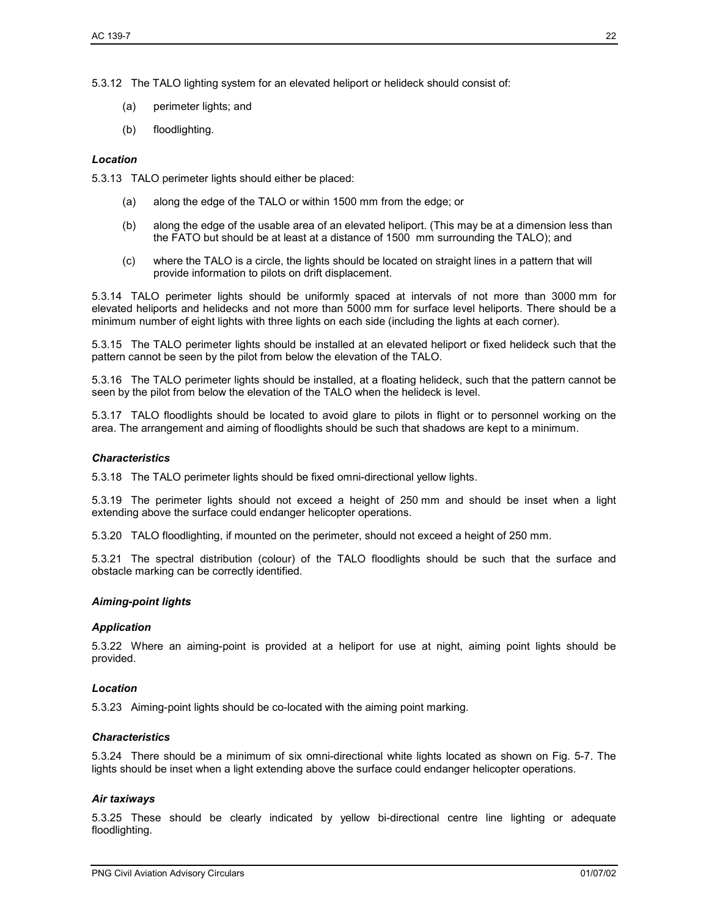5.3.12 The TALO lighting system for an elevated heliport or helideck should consist of:

- (a) perimeter lights; and
- (b) floodlighting.

#### *Location*

5.3.13 TALO perimeter lights should either be placed:

- (a) along the edge of the TALO or within 1500 mm from the edge; or
- (b) along the edge of the usable area of an elevated heliport. (This may be at a dimension less than the FATO but should be at least at a distance of 1500 mm surrounding the TALO); and
- (c) where the TALO is a circle, the lights should be located on straight lines in a pattern that will provide information to pilots on drift displacement.

5.3.14 TALO perimeter lights should be uniformly spaced at intervals of not more than 3000 mm for elevated heliports and helidecks and not more than 5000 mm for surface level heliports. There should be a minimum number of eight lights with three lights on each side (including the lights at each corner).

5.3.15 The TALO perimeter lights should be installed at an elevated heliport or fixed helideck such that the pattern cannot be seen by the pilot from below the elevation of the TALO.

5.3.16 The TALO perimeter lights should be installed, at a floating helideck, such that the pattern cannot be seen by the pilot from below the elevation of the TALO when the helideck is level.

5.3.17 TALO floodlights should be located to avoid glare to pilots in flight or to personnel working on the area. The arrangement and aiming of floodlights should be such that shadows are kept to a minimum.

#### *Characteristics*

5.3.18 The TALO perimeter lights should be fixed omni-directional yellow lights.

5.3.19 The perimeter lights should not exceed a height of 250 mm and should be inset when a light extending above the surface could endanger helicopter operations.

5.3.20 TALO floodlighting, if mounted on the perimeter, should not exceed a height of 250 mm.

5.3.21 The spectral distribution (colour) of the TALO floodlights should be such that the surface and obstacle marking can be correctly identified.

#### *Aiming-point lights*

#### *Application*

5.3.22 Where an aiming-point is provided at a heliport for use at night, aiming point lights should be provided.

#### *Location*

5.3.23 Aiming-point lights should be co-located with the aiming point marking.

#### *Characteristics*

5.3.24 There should be a minimum of six omni-directional white lights located as shown on Fig. 5-7. The lights should be inset when a light extending above the surface could endanger helicopter operations.

#### *Air taxiways*

5.3.25 These should be clearly indicated by yellow bi-directional centre line lighting or adequate floodlighting.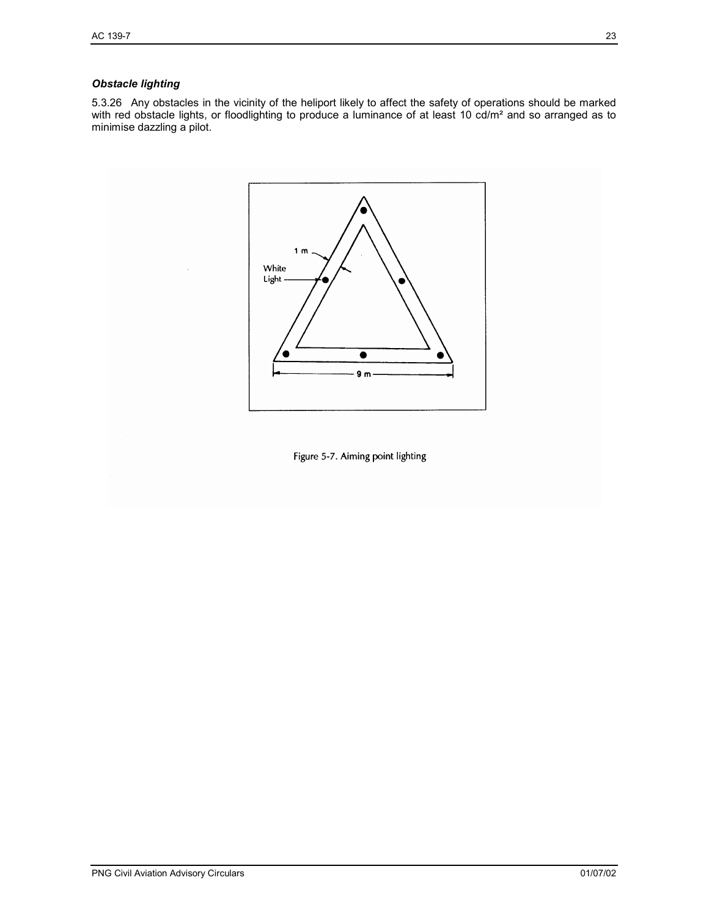### *Obstacle lighting*

5.3.26 Any obstacles in the vicinity of the heliport likely to affect the safety of operations should be marked with red obstacle lights, or floodlighting to produce a luminance of at least 10 cd/m<sup>2</sup> and so arranged as to minimise dazzling a pilot.